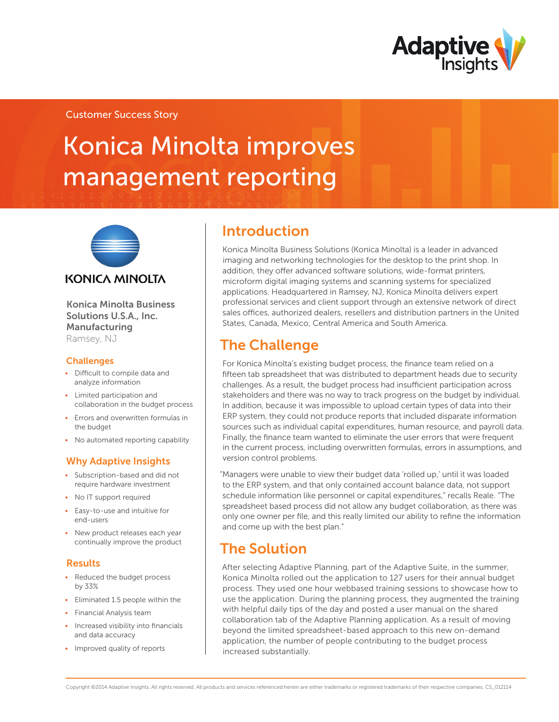

### Customer Success Story

# Konica Minolta improves management reporting



Konica Minolta Business Solutions U.S.A., Inc. Manufacturing Ramsey, NJ

#### **Challenges**

- • Difficult to compile data and analyze information
- Limited participation and collaboration in the budget process
- • ·Errors and overwritten formulas in the budget
- No automated reporting capability

### Why Adaptive Insights

- • Subscription-based and did not require hardware investment
- No IT support required
- • Easy-to-use and intuitive for end-users
- New product releases each year continually improve the product

### Results

- Reduced the budget process by 33%
- • Eliminated 1.5 people within the
- • Financial Analysis team
- Increased visibility into financials and data accuracy
- Improved quality of reports

### Introduction

Konica Minolta Business Solutions (Konica Minolta) is a leader in advanced imaging and networking technologies for the desktop to the print shop. In addition, they offer advanced software solutions, wide-format printers, microform digital imaging systems and scanning systems for specialized applications. Headquartered in Ramsey, NJ, Konica Minolta delivers expert professional services and client support through an extensive network of direct sales offices, authorized dealers, resellers and distribution partners in the United States, Canada, Mexico, Central America and South America.

# The Challenge

For Konica Minolta's existing budget process, the finance team relied on a fifteen tab spreadsheet that was distributed to department heads due to security challenges. As a result, the budget process had insufficient participation across stakeholders and there was no way to track progress on the budget by individual. In addition, because it was impossible to upload certain types of data into their ERP system, they could not produce reports that included disparate information sources such as individual capital expenditures, human resource, and payroll data. Finally, the finance team wanted to eliminate the user errors that were frequent in the current process, including overwritten formulas, errors in assumptions, and version control problems.

"Managers were unable to view their budget data 'rolled up,' until it was loaded to the ERP system, and that only contained account balance data, not support schedule information like personnel or capital expenditures," recalls Reale. "The spreadsheet based process did not allow any budget collaboration, as there was only one owner per file, and this really limited our ability to refine the information and come up with the best plan."

# The Solution

After selecting Adaptive Planning, part of the Adaptive Suite, in the summer, Konica Minolta rolled out the application to 127 users for their annual budget process. They used one hour webbased training sessions to showcase how to use the application. During the planning process, they augmented the training with helpful daily tips of the day and posted a user manual on the shared collaboration tab of the Adaptive Planning application. As a result of moving beyond the limited spreadsheet-based approach to this new on-demand application, the number of people contributing to the budget process increased substantially.